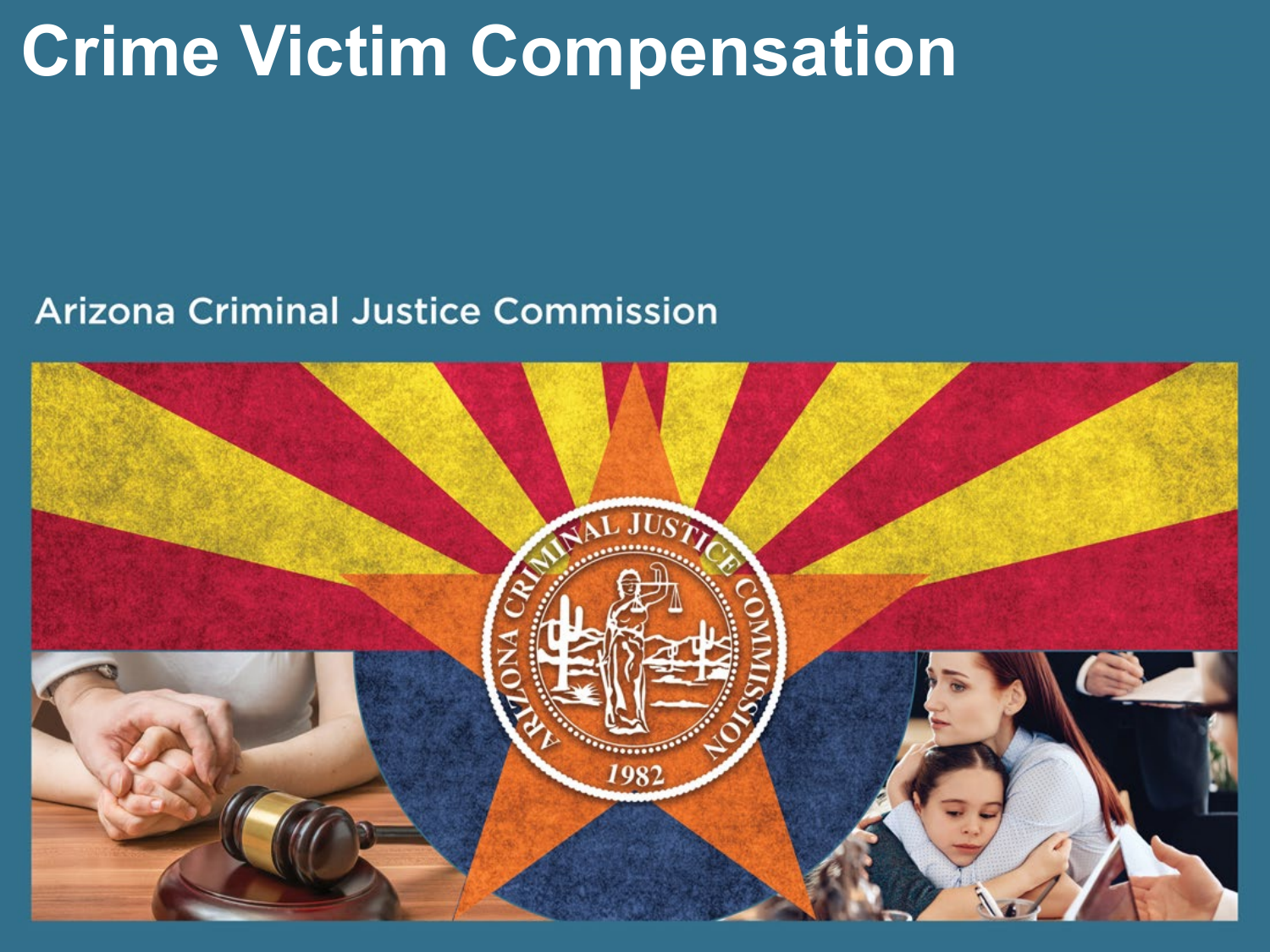# **Crime Victim Compensation**

#### **Arizona Criminal Justice Commission**

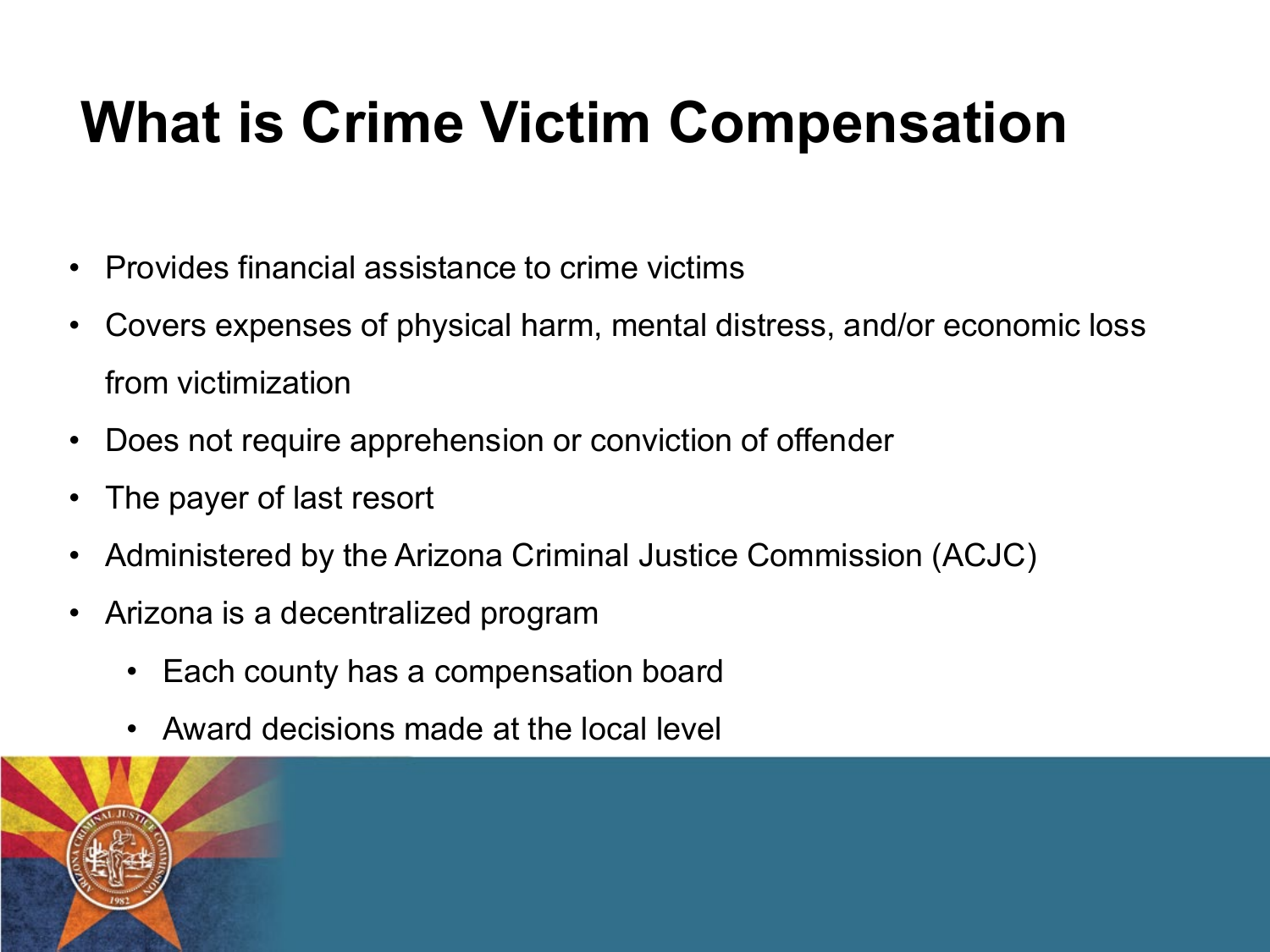### **What is Crime Victim Compensation**

- Provides financial assistance to crime victims
- Covers expenses of physical harm, mental distress, and/or economic loss from victimization
- Does not require apprehension or conviction of offender
- The payer of last resort
- Administered by the Arizona Criminal Justice Commission (ACJC)
- Arizona is a decentralized program
	- Each county has a compensation board
	- Award decisions made at the local level

![](_page_1_Picture_9.jpeg)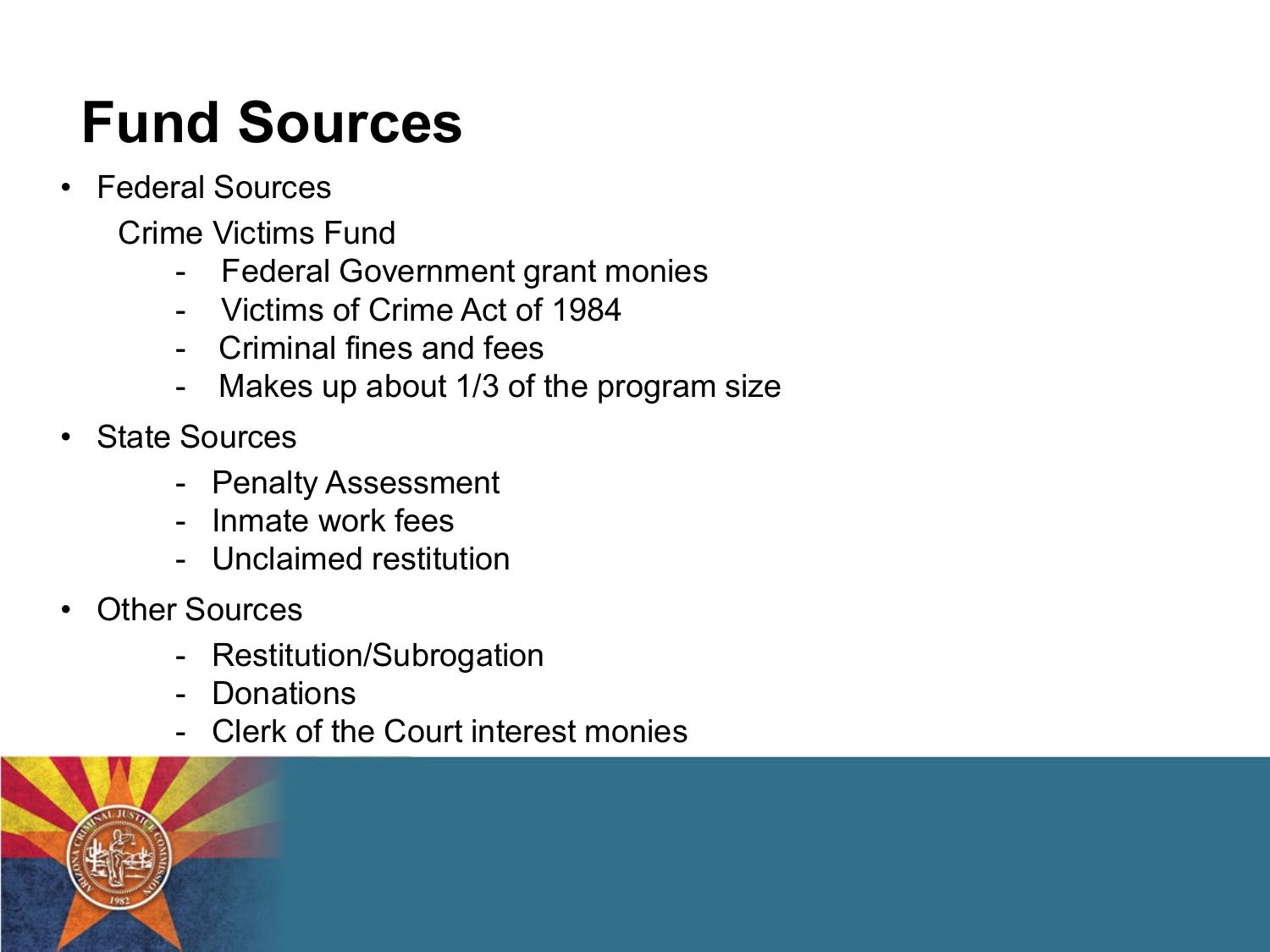### **Fund Sources**

- Federal Sources
	- Crime Victims Fund
		- Federal Government grant monies
		- Victims of Crime Act of 1984
		- Criminal fines and fees
		- Makes up about 1/3 of the program size
- State Sources
	- Penalty Assessment
	- Inmate work fees
	- Unclaimed restitution
- **Other Sources** 
	- Restitution/Subrogation
	- Donations
	- Clerk of the Court interest monies

![](_page_2_Picture_15.jpeg)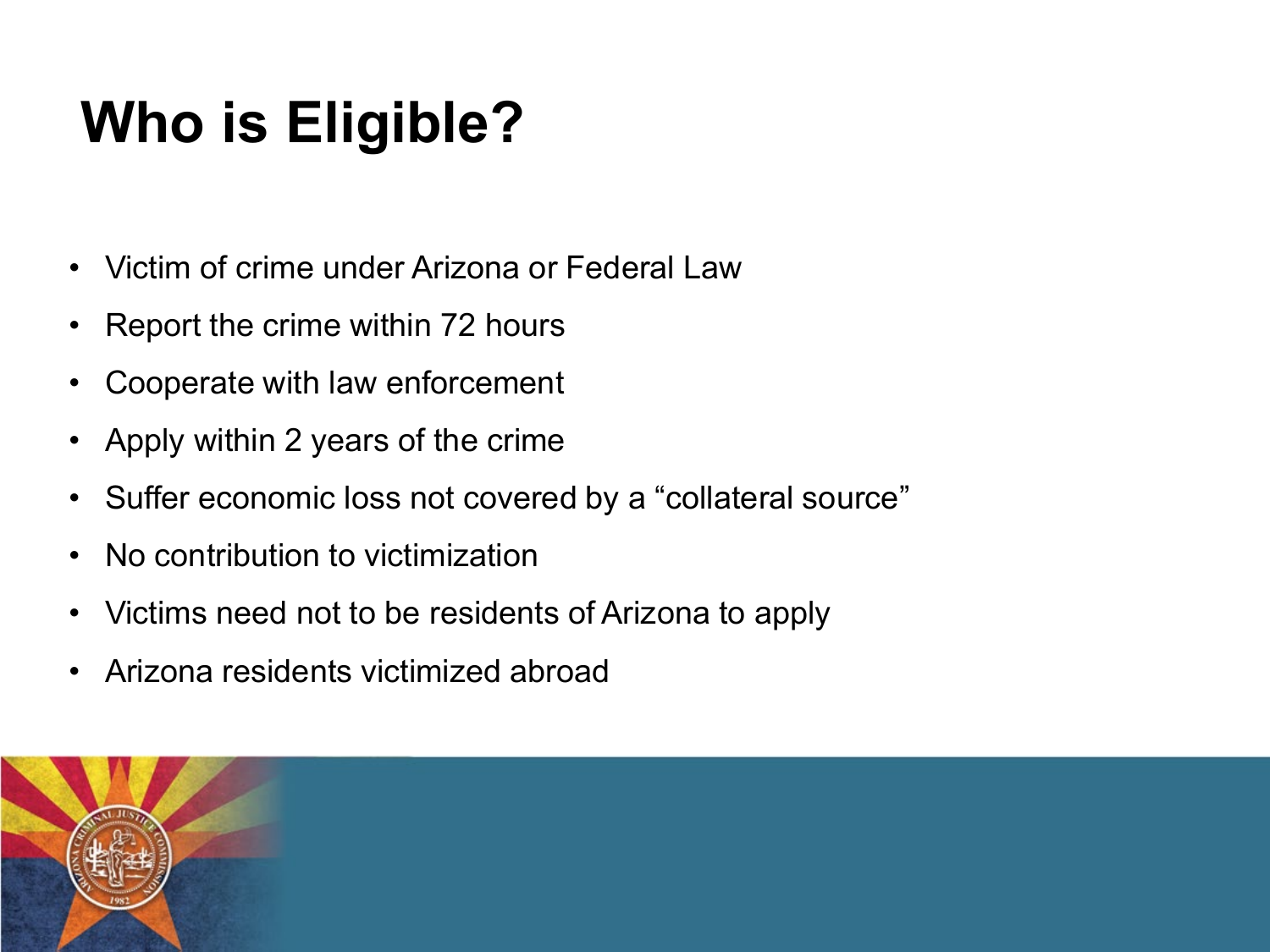## **Who is Eligible?**

- Victim of crime under Arizona or Federal Law
- Report the crime within 72 hours
- Cooperate with law enforcement
- Apply within 2 years of the crime
- Suffer economic loss not covered by a "collateral source"
- No contribution to victimization
- Victims need not to be residents of Arizona to apply
- Arizona residents victimized abroad

![](_page_3_Picture_9.jpeg)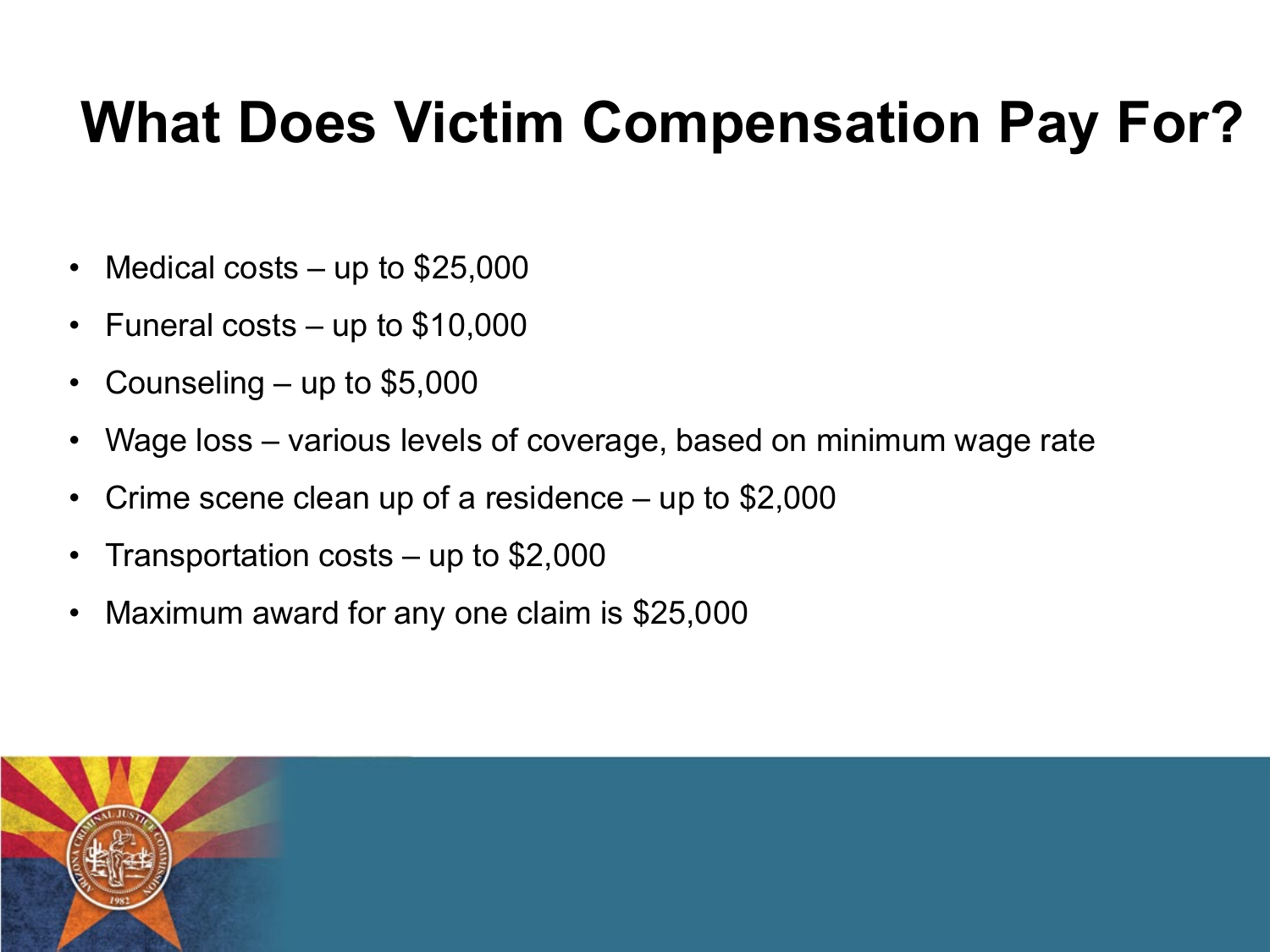#### **What Does Victim Compensation Pay For?**

- Medical costs  $-$  up to \$25,000
- Funeral costs up to  $$10,000$
- Counseling  $-$  up to \$5,000
- Wage loss various levels of coverage, based on minimum wage rate
- Crime scene clean up of a residence up to \$2,000
- Transportation costs  $-$  up to \$2,000
- Maximum award for any one claim is \$25,000

![](_page_4_Picture_8.jpeg)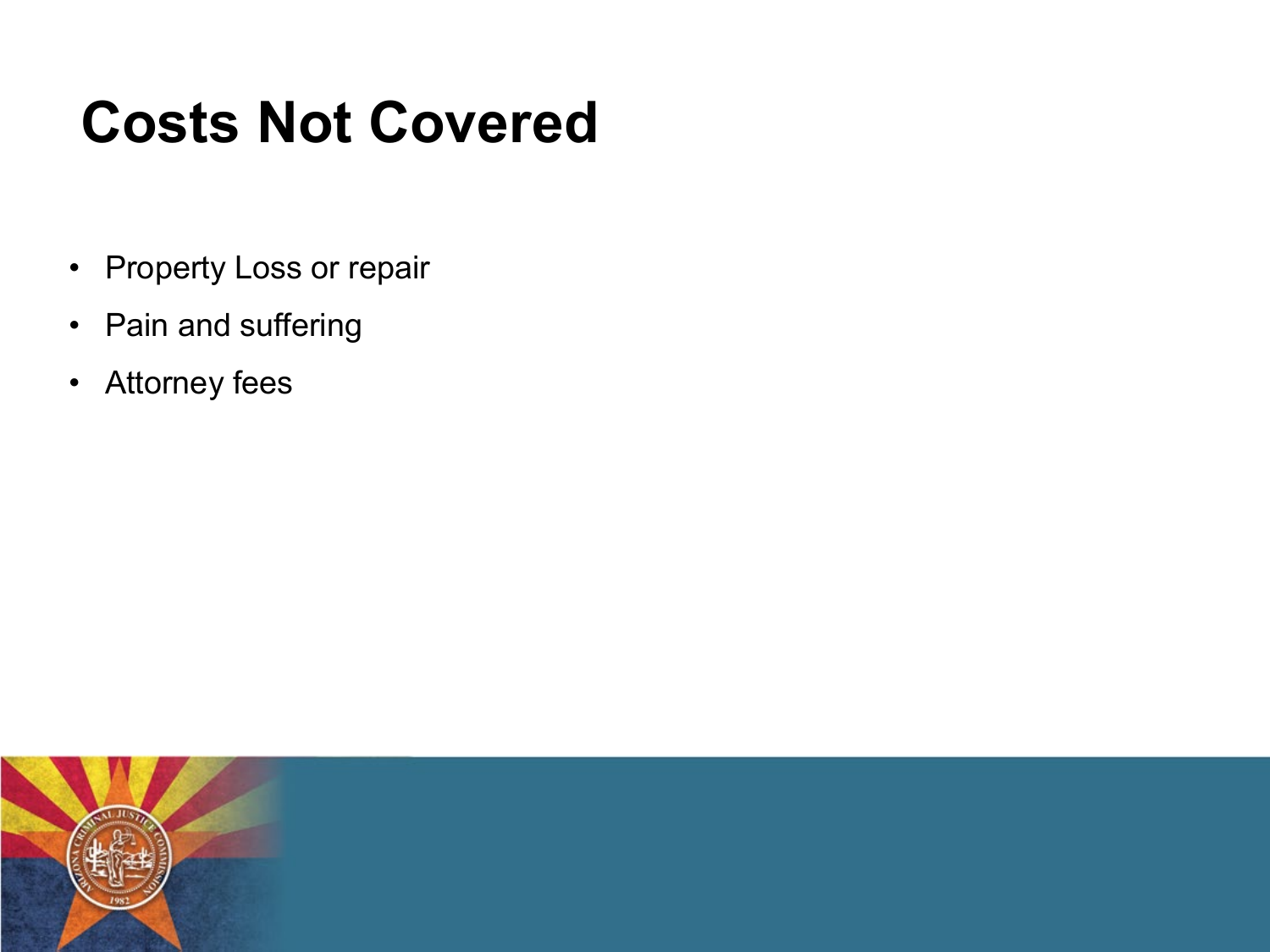#### **Costs Not Covered**

- Property Loss or repair
- Pain and suffering
- Attorney fees

![](_page_5_Picture_4.jpeg)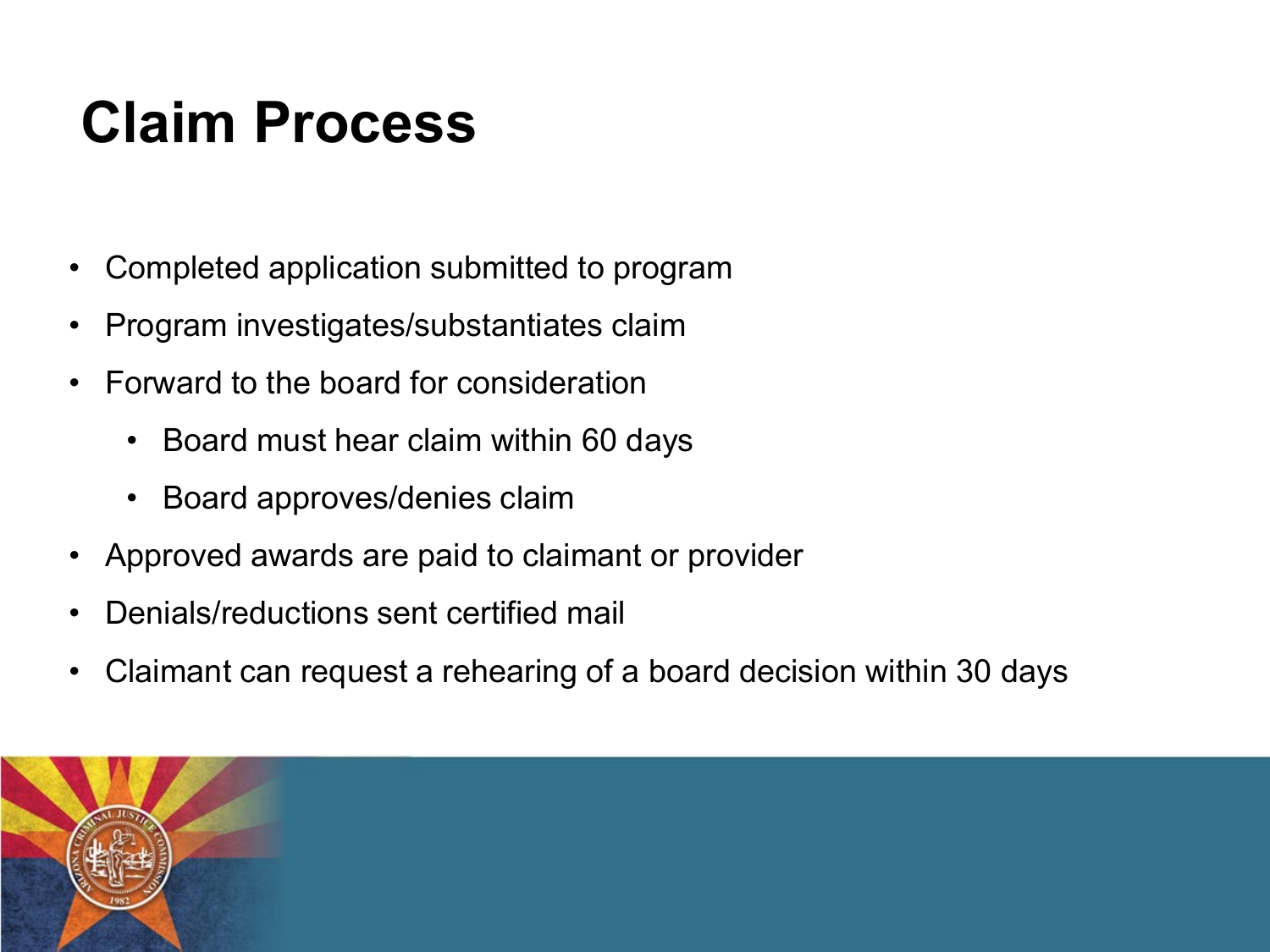### **Claim Process**

- Completed application submitted to program
- Program investigates/substantiates claim
- Forward to the board for consideration
	- Board must hear claim within 60 days
	- Board approves/denies claim
- Approved awards are paid to claimant or provider
- Denials/reductions sent certified mail
- Claimant can request a rehearing of a board decision within 30 days

![](_page_6_Picture_9.jpeg)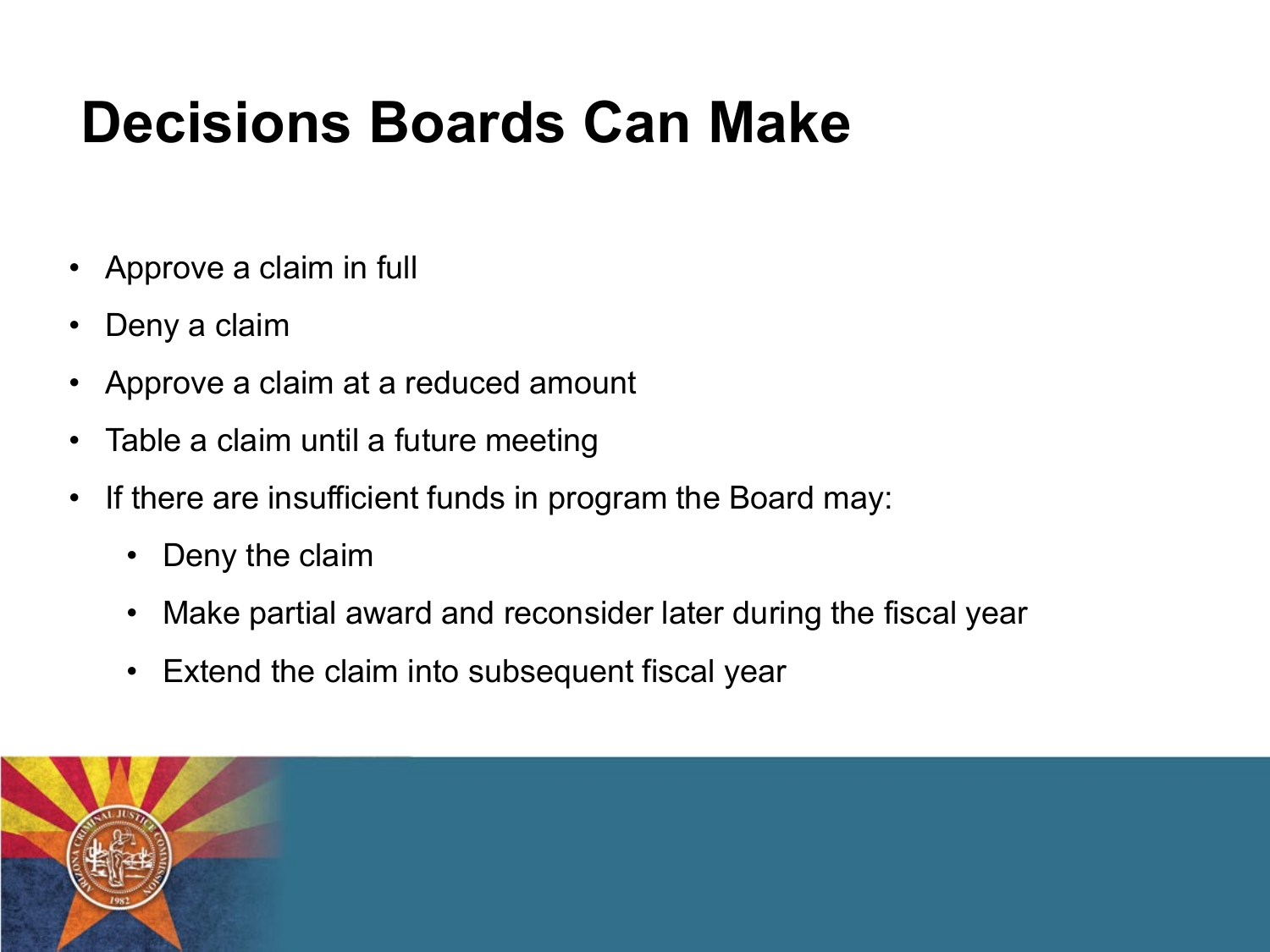#### **Decisions Boards Can Make**

- Approve a claim in full
- Deny a claim
- Approve a claim at a reduced amount
- Table a claim until a future meeting
- If there are insufficient funds in program the Board may:
	- Deny the claim
	- Make partial award and reconsider later during the fiscal year
	- Extend the claim into subsequent fiscal year

![](_page_7_Picture_9.jpeg)